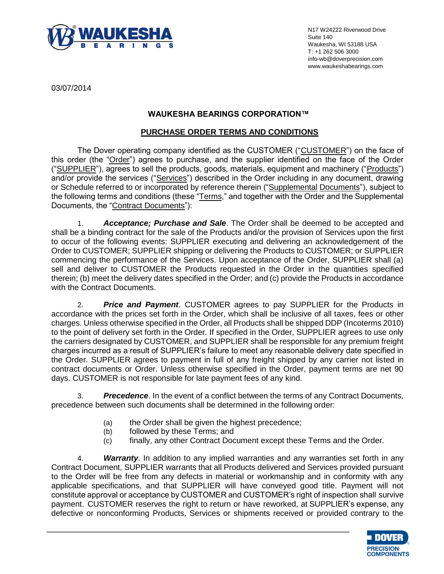

N17 W24222 Riverwood Drive Suite 140 Waukesha, WI 53188 USA T: +1 262 506 3000 info-wb@doverprecision.com www.waukeshabearings.com

03/07/2014

## **WAUKESHA BEARINGS CORPORATION™**

### **PURCHASE ORDER TERMS AND CONDITIONS**

The Dover operating company identified as the CUSTOMER ("CUSTOMER") on the face of this order (the "Order") agrees to purchase, and the supplier identified on the face of the Order ("SUPPLIER"), agrees to sell the products, goods, materials, equipment and machinery ("Products") and/or provide the services ("Services") described in the Order including in any document, drawing or Schedule referred to or incorporated by reference therein ("Supplemental Documents"), subject to the following terms and conditions (these "Terms," and together with the Order and the Supplemental Documents, the "Contract Documents"):

1. *Acceptance; Purchase and Sale*. The Order shall be deemed to be accepted and shall be a binding contract for the sale of the Products and/or the provision of Services upon the first to occur of the following events: SUPPLIER executing and delivering an acknowledgement of the Order to CUSTOMER; SUPPLIER shipping or delivering the Products to CUSTOMER; or SUPPLIER commencing the performance of the Services. Upon acceptance of the Order, SUPPLIER shall (a) sell and deliver to CUSTOMER the Products requested in the Order in the quantities specified therein; (b) meet the delivery dates specified in the Order; and (c) provide the Products in accordance with the Contract Documents.

2. *Price and Payment*. CUSTOMER agrees to pay SUPPLIER for the Products in accordance with the prices set forth in the Order, which shall be inclusive of all taxes, fees or other charges. Unless otherwise specified in the Order, all Products shall be shipped DDP (Incoterms 2010) to the point of delivery set forth in the Order. If specified in the Order, SUPPLIER agrees to use only the carriers designated by CUSTOMER, and SUPPLIER shall be responsible for any premium freight charges incurred as a result of SUPPLIER's failure to meet any reasonable delivery date specified in the Order. SUPPLIER agrees to payment in full of any freight shipped by any carrier not listed in contract documents or Order. Unless otherwise specified in the Order, payment terms are net 90 days. CUSTOMER is not responsible for late payment fees of any kind.

3. *Precedence*. In the event of a conflict between the terms of any Contract Documents, precedence between such documents shall be determined in the following order:

- (a) the Order shall be given the highest precedence;
- (b) followed by these Terms; and
- (c) finally, any other Contract Document except these Terms and the Order.

4. *Warranty*. In addition to any implied warranties and any warranties set forth in any Contract Document, SUPPLIER warrants that all Products delivered and Services provided pursuant to the Order will be free from any defects in material or workmanship and in conformity with any applicable specifications, and that SUPPLIER will have conveyed good title. Payment will not constitute approval or acceptance by CUSTOMER and CUSTOMER's right of inspection shall survive payment. CUSTOMER reserves the right to return or have reworked, at SUPPLIER's expense, any defective or nonconforming Products, Services or shipments received or provided contrary to the

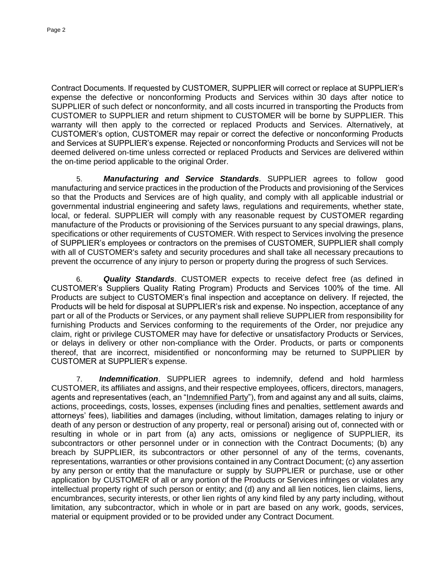Contract Documents. If requested by CUSTOMER, SUPPLIER will correct or replace at SUPPLIER's expense the defective or nonconforming Products and Services within 30 days after notice to SUPPLIER of such defect or nonconformity, and all costs incurred in transporting the Products from CUSTOMER to SUPPLIER and return shipment to CUSTOMER will be borne by SUPPLIER. This warranty will then apply to the corrected or replaced Products and Services. Alternatively, at CUSTOMER's option, CUSTOMER may repair or correct the defective or nonconforming Products and Services at SUPPLIER's expense. Rejected or nonconforming Products and Services will not be deemed delivered on-time unless corrected or replaced Products and Services are delivered within the on-time period applicable to the original Order.

5. *Manufacturing and Service Standards*. SUPPLIER agrees to follow good manufacturing and service practices in the production of the Products and provisioning of the Services so that the Products and Services are of high quality, and comply with all applicable industrial or governmental industrial engineering and safety laws, regulations and requirements, whether state, local, or federal. SUPPLIER will comply with any reasonable request by CUSTOMER regarding manufacture of the Products or provisioning of the Services pursuant to any special drawings, plans, specifications or other requirements of CUSTOMER. With respect to Services involving the presence of SUPPLIER's employees or contractors on the premises of CUSTOMER, SUPPLIER shall comply with all of CUSTOMER's safety and security procedures and shall take all necessary precautions to prevent the occurrence of any injury to person or property during the progress of such Services.

6. *Quality Standards*. CUSTOMER expects to receive defect free (as defined in CUSTOMER's Suppliers Quality Rating Program) Products and Services 100% of the time. All Products are subject to CUSTOMER's final inspection and acceptance on delivery. If rejected, the Products will be held for disposal at SUPPLIER's risk and expense. No inspection, acceptance of any part or all of the Products or Services, or any payment shall relieve SUPPLIER from responsibility for furnishing Products and Services conforming to the requirements of the Order, nor prejudice any claim, right or privilege CUSTOMER may have for defective or unsatisfactory Products or Services, or delays in delivery or other non-compliance with the Order. Products, or parts or components thereof, that are incorrect, misidentified or nonconforming may be returned to SUPPLIER by CUSTOMER at SUPPLIER's expense.

7. *Indemnification*. SUPPLIER agrees to indemnify, defend and hold harmless CUSTOMER, its affiliates and assigns, and their respective employees, officers, directors, managers, agents and representatives (each, an "Indemnified Party"), from and against any and all suits, claims, actions, proceedings, costs, losses, expenses (including fines and penalties, settlement awards and attorneys' fees), liabilities and damages (including, without limitation, damages relating to injury or death of any person or destruction of any property, real or personal) arising out of, connected with or resulting in whole or in part from (a) any acts, omissions or negligence of SUPPLIER, its subcontractors or other personnel under or in connection with the Contract Documents; (b) any breach by SUPPLIER, its subcontractors or other personnel of any of the terms, covenants, representations, warranties or other provisions contained in any Contract Document; (c) any assertion by any person or entity that the manufacture or supply by SUPPLIER or purchase, use or other application by CUSTOMER of all or any portion of the Products or Services infringes or violates any intellectual property right of such person or entity; and (d) any and all lien notices, lien claims, liens, encumbrances, security interests, or other lien rights of any kind filed by any party including, without limitation, any subcontractor, which in whole or in part are based on any work, goods, services, material or equipment provided or to be provided under any Contract Document.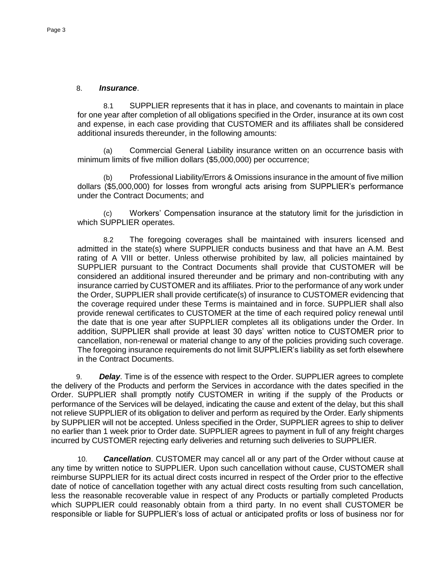#### 8. *Insurance*.

8.1 SUPPLIER represents that it has in place, and covenants to maintain in place for one year after completion of all obligations specified in the Order, insurance at its own cost and expense, in each case providing that CUSTOMER and its affiliates shall be considered additional insureds thereunder, in the following amounts:

Commercial General Liability insurance written on an occurrence basis with minimum limits of five million dollars (\$5,000,000) per occurrence;

(b) Professional Liability/Errors & Omissions insurance in the amount of five million dollars (\$5,000,000) for losses from wrongful acts arising from SUPPLIER's performance under the Contract Documents; and

(c) Workers' Compensation insurance at the statutory limit for the jurisdiction in which SUPPLIER operates.

8.2 The foregoing coverages shall be maintained with insurers licensed and admitted in the state(s) where SUPPLIER conducts business and that have an A.M. Best rating of A VIII or better. Unless otherwise prohibited by law, all policies maintained by SUPPLIER pursuant to the Contract Documents shall provide that CUSTOMER will be considered an additional insured thereunder and be primary and non-contributing with any insurance carried by CUSTOMER and its affiliates. Prior to the performance of any work under the Order, SUPPLIER shall provide certificate(s) of insurance to CUSTOMER evidencing that the coverage required under these Terms is maintained and in force. SUPPLIER shall also provide renewal certificates to CUSTOMER at the time of each required policy renewal until the date that is one year after SUPPLIER completes all its obligations under the Order. In addition, SUPPLIER shall provide at least 30 days' written notice to CUSTOMER prior to cancellation, non-renewal or material change to any of the policies providing such coverage. The foregoing insurance requirements do not limit SUPPLIER's liability as set forth elsewhere in the Contract Documents.

9. *Delay*. Time is of the essence with respect to the Order. SUPPLIER agrees to complete the delivery of the Products and perform the Services in accordance with the dates specified in the Order. SUPPLIER shall promptly notify CUSTOMER in writing if the supply of the Products or performance of the Services will be delayed, indicating the cause and extent of the delay, but this shall not relieve SUPPLIER of its obligation to deliver and perform as required by the Order. Early shipments by SUPPLIER will not be accepted. Unless specified in the Order, SUPPLIER agrees to ship to deliver no earlier than 1 week prior to Order date. SUPPLIER agrees to payment in full of any freight charges incurred by CUSTOMER rejecting early deliveries and returning such deliveries to SUPPLIER.

10. *Cancellation*. CUSTOMER may cancel all or any part of the Order without cause at any time by written notice to SUPPLIER. Upon such cancellation without cause, CUSTOMER shall reimburse SUPPLIER for its actual direct costs incurred in respect of the Order prior to the effective date of notice of cancellation together with any actual direct costs resulting from such cancellation, less the reasonable recoverable value in respect of any Products or partially completed Products which SUPPLIER could reasonably obtain from a third party. In no event shall CUSTOMER be responsible or liable for SUPPLIER's loss of actual or anticipated profits or loss of business nor for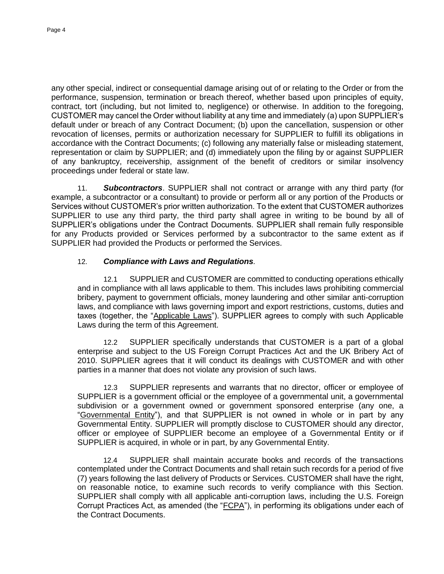any other special, indirect or consequential damage arising out of or relating to the Order or from the performance, suspension, termination or breach thereof, whether based upon principles of equity, contract, tort (including, but not limited to, negligence) or otherwise. In addition to the foregoing, CUSTOMER may cancel the Order without liability at any time and immediately (a) upon SUPPLIER's default under or breach of any Contract Document; (b) upon the cancellation, suspension or other revocation of licenses, permits or authorization necessary for SUPPLIER to fulfill its obligations in accordance with the Contract Documents; (c) following any materially false or misleading statement, representation or claim by SUPPLIER; and (d) immediately upon the filing by or against SUPPLIER of any bankruptcy, receivership, assignment of the benefit of creditors or similar insolvency proceedings under federal or state law.

11. *Subcontractors*. SUPPLIER shall not contract or arrange with any third party (for example, a subcontractor or a consultant) to provide or perform all or any portion of the Products or Services without CUSTOMER's prior written authorization. To the extent that CUSTOMER authorizes SUPPLIER to use any third party, the third party shall agree in writing to be bound by all of SUPPLIER's obligations under the Contract Documents. SUPPLIER shall remain fully responsible for any Products provided or Services performed by a subcontractor to the same extent as if SUPPLIER had provided the Products or performed the Services.

### 12. *Compliance with Laws and Regulations.*

12.1 SUPPLIER and CUSTOMER are committed to conducting operations ethically and in compliance with all laws applicable to them. This includes laws prohibiting commercial bribery, payment to government officials, money laundering and other similar anti-corruption laws, and compliance with laws governing import and export restrictions, customs, duties and taxes (together, the "Applicable Laws"). SUPPLIER agrees to comply with such Applicable Laws during the term of this Agreement.

12.2 SUPPLIER specifically understands that CUSTOMER is a part of a global enterprise and subject to the US Foreign Corrupt Practices Act and the UK Bribery Act of 2010. SUPPLIER agrees that it will conduct its dealings with CUSTOMER and with other parties in a manner that does not violate any provision of such laws.

12.3 SUPPLIER represents and warrants that no director, officer or employee of SUPPLIER is a government official or the employee of a governmental unit, a governmental subdivision or a government owned or government sponsored enterprise (any one, a "Governmental Entity"), and that SUPPLIER is not owned in whole or in part by any Governmental Entity. SUPPLIER will promptly disclose to CUSTOMER should any director, officer or employee of SUPPLIER become an employee of a Governmental Entity or if SUPPLIER is acquired, in whole or in part, by any Governmental Entity.

12.4 SUPPLIER shall maintain accurate books and records of the transactions contemplated under the Contract Documents and shall retain such records for a period of five (7) years following the last delivery of Products or Services. CUSTOMER shall have the right, on reasonable notice, to examine such records to verify compliance with this Section. SUPPLIER shall comply with all applicable anti-corruption laws, including the U.S. Foreign Corrupt Practices Act, as amended (the "FCPA"), in performing its obligations under each of the Contract Documents.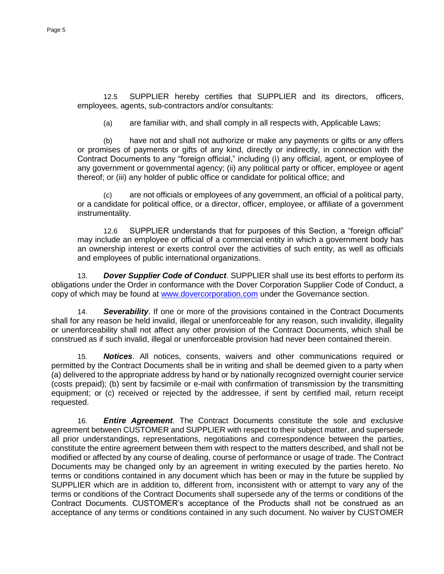12.5 SUPPLIER hereby certifies that SUPPLIER and its directors, officers, employees, agents, sub-contractors and/or consultants:

(a) are familiar with, and shall comply in all respects with, Applicable Laws;

(b) have not and shall not authorize or make any payments or gifts or any offers or promises of payments or gifts of any kind, directly or indirectly, in connection with the Contract Documents to any "foreign official," including (i) any official, agent, or employee of any government or governmental agency; (ii) any political party or officer, employee or agent thereof; or (iii) any holder of public office or candidate for political office; and

(c) are not officials or employees of any government, an official of a political party, or a candidate for political office, or a director, officer, employee, or affiliate of a government instrumentality.

12.6 SUPPLIER understands that for purposes of this Section, a "foreign official" may include an employee or official of a commercial entity in which a government body has an ownership interest or exerts control over the activities of such entity, as well as officials and employees of public international organizations.

13. *Dover Supplier Code of Conduct*. SUPPLIER shall use its best efforts to perform its obligations under the Order in conformance with the Dover Corporation Supplier Code of Conduct, a copy of which may be found at [www.dovercorporation.com](http://www.dovercorporation.com/) under the Governance section.

14. *Severability*. If one or more of the provisions contained in the Contract Documents shall for any reason be held invalid, illegal or unenforceable for any reason, such invalidity, illegality or unenforceability shall not affect any other provision of the Contract Documents, which shall be construed as if such invalid, illegal or unenforceable provision had never been contained therein.

15. *Notices*. All notices, consents, waivers and other communications required or permitted by the Contract Documents shall be in writing and shall be deemed given to a party when (a) delivered to the appropriate address by hand or by nationally recognized overnight courier service (costs prepaid); (b) sent by facsimile or e-mail with confirmation of transmission by the transmitting equipment; or (c) received or rejected by the addressee, if sent by certified mail, return receipt requested.

16. *Entire Agreement*. The Contract Documents constitute the sole and exclusive agreement between CUSTOMER and SUPPLIER with respect to their subject matter, and supersede all prior understandings, representations, negotiations and correspondence between the parties, constitute the entire agreement between them with respect to the matters described, and shall not be modified or affected by any course of dealing, course of performance or usage of trade. The Contract Documents may be changed only by an agreement in writing executed by the parties hereto. No terms or conditions contained in any document which has been or may in the future be supplied by SUPPLIER which are in addition to, different from, inconsistent with or attempt to vary any of the terms or conditions of the Contract Documents shall supersede any of the terms or conditions of the Contract Documents. CUSTOMER's acceptance of the Products shall not be construed as an acceptance of any terms or conditions contained in any such document. No waiver by CUSTOMER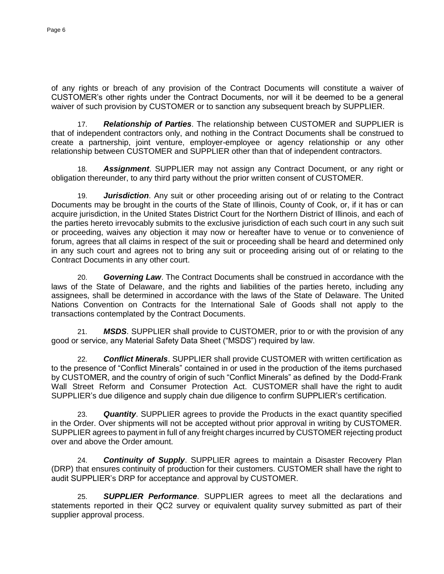of any rights or breach of any provision of the Contract Documents will constitute a waiver of CUSTOMER's other rights under the Contract Documents, nor will it be deemed to be a general waiver of such provision by CUSTOMER or to sanction any subsequent breach by SUPPLIER.

17. *Relationship of Parties*. The relationship between CUSTOMER and SUPPLIER is that of independent contractors only, and nothing in the Contract Documents shall be construed to create a partnership, joint venture, employer-employee or agency relationship or any other relationship between CUSTOMER and SUPPLIER other than that of independent contractors.

18. *Assignment*. SUPPLIER may not assign any Contract Document, or any right or obligation thereunder, to any third party without the prior written consent of CUSTOMER.

19. *Jurisdiction*. Any suit or other proceeding arising out of or relating to the Contract Documents may be brought in the courts of the State of Illinois, County of Cook, or, if it has or can acquire jurisdiction, in the United States District Court for the Northern District of Illinois, and each of the parties hereto irrevocably submits to the exclusive jurisdiction of each such court in any such suit or proceeding, waives any objection it may now or hereafter have to venue or to convenience of forum, agrees that all claims in respect of the suit or proceeding shall be heard and determined only in any such court and agrees not to bring any suit or proceeding arising out of or relating to the Contract Documents in any other court.

20. *Governing Law*. The Contract Documents shall be construed in accordance with the laws of the State of Delaware, and the rights and liabilities of the parties hereto, including any assignees, shall be determined in accordance with the laws of the State of Delaware. The United Nations Convention on Contracts for the International Sale of Goods shall not apply to the transactions contemplated by the Contract Documents.

21. *MSDS*. SUPPLIER shall provide to CUSTOMER, prior to or with the provision of any good or service, any Material Safety Data Sheet ("MSDS") required by law.

22. *Conflict Minerals*. SUPPLIER shall provide CUSTOMER with written certification as to the presence of "Conflict Minerals" contained in or used in the production of the items purchased by CUSTOMER, and the country of origin of such "Conflict Minerals" as defined by the Dodd-Frank Wall Street Reform and Consumer Protection Act. CUSTOMER shall have the right to audit SUPPLIER's due diligence and supply chain due diligence to confirm SUPPLIER's certification.

23. *Quantity*. SUPPLIER agrees to provide the Products in the exact quantity specified in the Order. Over shipments will not be accepted without prior approval in writing by CUSTOMER. SUPPLIER agrees to payment in full of any freight charges incurred by CUSTOMER rejecting product over and above the Order amount.

24. *Continuity of Supply*. SUPPLIER agrees to maintain a Disaster Recovery Plan (DRP) that ensures continuity of production for their customers. CUSTOMER shall have the right to audit SUPPLIER's DRP for acceptance and approval by CUSTOMER.

25. *SUPPLIER Performance*. SUPPLIER agrees to meet all the declarations and statements reported in their QC2 survey or equivalent quality survey submitted as part of their supplier approval process.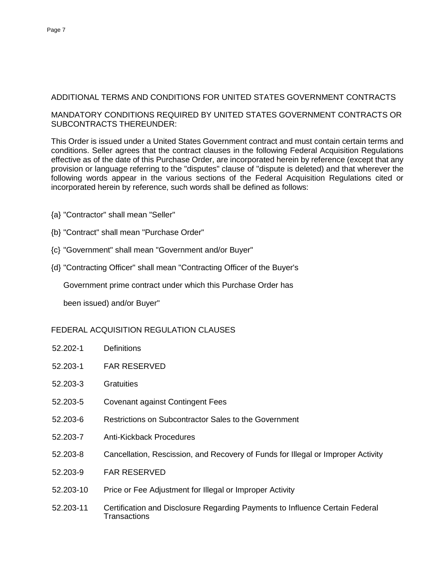# ADDITIONAL TERMS AND CONDITIONS FOR UNITED STATES GOVERNMENT CONTRACTS

### MANDATORY CONDITIONS REQUIRED BY UNITED STATES GOVERNMENT CONTRACTS OR SUBCONTRACTS THEREUNDER:

This Order is issued under a United States Government contract and must contain certain terms and conditions. Seller agrees that the contract clauses in the following Federal Acquisition Regulations effective as of the date of this Purchase Order, are incorporated herein by reference (except that any provision or language referring to the "disputes" clause of "dispute is deleted) and that wherever the following words appear in the various sections of the Federal Acquisition Regulations cited or incorporated herein by reference, such words shall be defined as follows:

- {a} "Contractor" shall mean "Seller"
- {b} "Contract" shall mean "Purchase Order"
- {c} "Government" shall mean "Government and/or Buyer"
- {d} "Contracting Officer" shall mean "Contracting Officer of the Buyer's

Government prime contract under which this Purchase Order has

been issued) and/or Buyer"

### FEDERAL ACQUISITION REGULATION CLAUSES

- 52.202-1 Definitions
- 52.203-1 FAR RESERVED
- 52.203-3 Gratuities
- 52.203-5 Covenant against Contingent Fees
- 52.203-6 Restrictions on Subcontractor Sales to the Government
- 52.203-7 Anti-Kickback Procedures
- 52.203-8 Cancellation, Rescission, and Recovery of Funds for Illegal or Improper Activity
- 52.203-9 FAR RESERVED
- 52.203-10 Price or Fee Adjustment for Illegal or Improper Activity
- 52.203-11 Certification and Disclosure Regarding Payments to Influence Certain Federal **Transactions**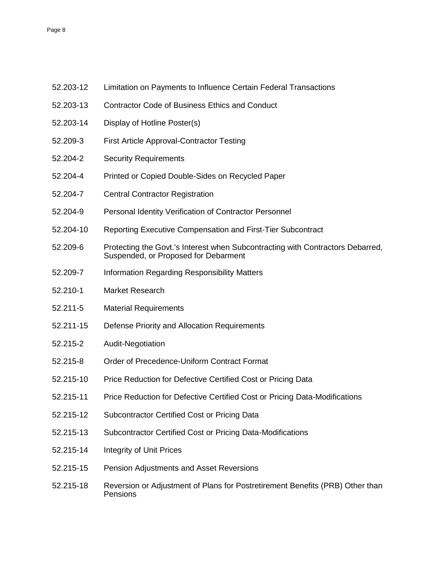- 52.203-13 Contractor Code of Business Ethics and Conduct
- 52.203-14 Display of Hotline Poster(s)
- 52.209-3 First Article Approval-Contractor Testing
- 52.204-2 Security Requirements
- 52.204-4 Printed or Copied Double-Sides on Recycled Paper
- 52.204-7 Central Contractor Registration
- 52.204-9 Personal Identity Verification of Contractor Personnel
- 52.204-10 Reporting Executive Compensation and First-Tier Subcontract
- 52.209-6 Protecting the Govt.'s Interest when Subcontracting with Contractors Debarred, Suspended, or Proposed for Debarment
- 52.209-7 Information Regarding Responsibility Matters
- 52.210-1 Market Research
- 52.211-5 Material Requirements
- 52.211-15 Defense Priority and Allocation Requirements
- 52.215-2 Audit-Negotiation
- 52.215-8 Order of Precedence-Uniform Contract Format
- 52.215-10 Price Reduction for Defective Certified Cost or Pricing Data
- 52.215-11 Price Reduction for Defective Certified Cost or Pricing Data-Modifications
- 52.215-12 Subcontractor Certified Cost or Pricing Data
- 52.215-13 Subcontractor Certified Cost or Pricing Data-Modifications
- 52.215-14 Integrity of Unit Prices
- 52.215-15 Pension Adjustments and Asset Reversions
- 52.215-18 Reversion or Adjustment of Plans for Postretirement Benefits (PRB) Other than Pensions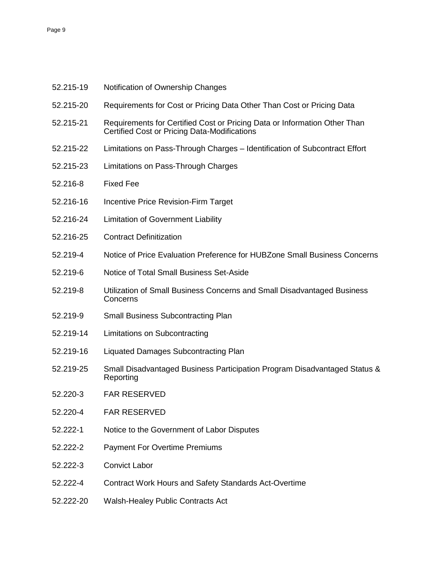- 52.215-19 Notification of Ownership Changes
- 52.215-20 Requirements for Cost or Pricing Data Other Than Cost or Pricing Data
- 52.215-21 Requirements for Certified Cost or Pricing Data or Information Other Than Certified Cost or Pricing Data-Modifications
- 52.215-22 Limitations on Pass-Through Charges Identification of Subcontract Effort
- 52.215-23 Limitations on Pass-Through Charges
- 52.216-8 Fixed Fee
- 52.216-16 Incentive Price Revision-Firm Target
- 52.216-24 Limitation of Government Liability
- 52.216-25 Contract Definitization
- 52.219-4 Notice of Price Evaluation Preference for HUBZone Small Business Concerns
- 52.219-6 Notice of Total Small Business Set-Aside
- 52.219-8 Utilization of Small Business Concerns and Small Disadvantaged Business Concerns
- 52.219-9 Small Business Subcontracting Plan
- 52.219-14 Limitations on Subcontracting
- 52.219-16 Liquated Damages Subcontracting Plan
- 52.219-25 Small Disadvantaged Business Participation Program Disadvantaged Status & Reporting
- 52.220-3 FAR RESERVED
- 52.220-4 FAR RESERVED
- 52.222-1 Notice to the Government of Labor Disputes
- 52.222-2 Payment For Overtime Premiums
- 52.222-3 Convict Labor
- 52.222-4 Contract Work Hours and Safety Standards Act-Overtime
- 52.222-20 Walsh-Healey Public Contracts Act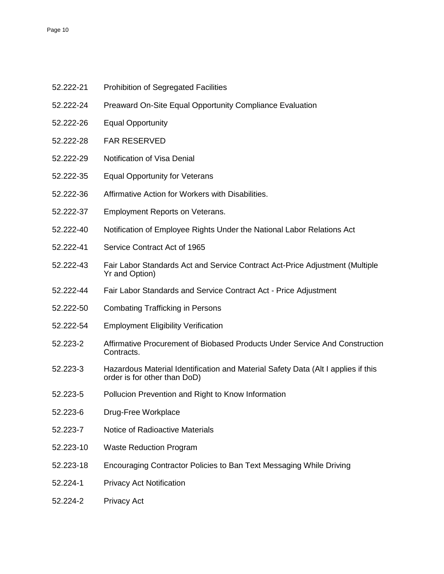- 52.222-21 Prohibition of Segregated Facilities
- 52.222-24 Preaward On-Site Equal Opportunity Compliance Evaluation
- 52.222-26 Equal Opportunity
- 52.222-28 FAR RESERVED
- 52.222-29 Notification of Visa Denial
- 52.222-35 Equal Opportunity for Veterans
- 52.222-36 Affirmative Action for Workers with Disabilities.
- 52.222-37 Employment Reports on Veterans.
- 52.222-40 Notification of Employee Rights Under the National Labor Relations Act
- 52.222-41 Service Contract Act of 1965
- 52.222-43 Fair Labor Standards Act and Service Contract Act-Price Adjustment (Multiple Yr and Option)
- 52.222-44 Fair Labor Standards and Service Contract Act Price Adjustment
- 52.222-50 Combating Trafficking in Persons
- 52.222-54 Employment Eligibility Verification
- 52.223-2 Affirmative Procurement of Biobased Products Under Service And Construction Contracts.
- 52.223-3 Hazardous Material Identification and Material Safety Data (Alt I applies if this order is for other than DoD)
- 52.223-5 Pollucion Prevention and Right to Know Information
- 52.223-6 Drug-Free Workplace
- 52.223-7 Notice of Radioactive Materials
- 52.223-10 Waste Reduction Program
- 52.223-18 Encouraging Contractor Policies to Ban Text Messaging While Driving
- 52.224-1 Privacy Act Notification
- 52.224-2 Privacy Act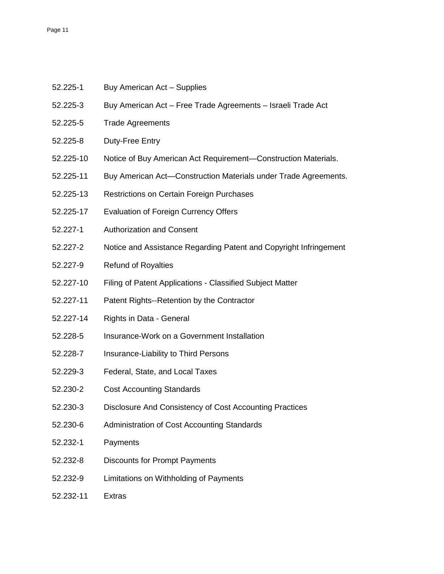- 52.225-3 Buy American Act Free Trade Agreements Israeli Trade Act
- 52.225-5 Trade Agreements
- 52.225-8 Duty-Free Entry
- 52.225-10 Notice of Buy American Act Requirement—Construction Materials.
- 52.225-11 Buy American Act—Construction Materials under Trade Agreements.
- 52.225-13 Restrictions on Certain Foreign Purchases
- 52.225-17 Evaluation of Foreign Currency Offers
- 52.227-1 Authorization and Consent
- 52.227-2 Notice and Assistance Regarding Patent and Copyright Infringement
- 52.227-9 Refund of Royalties
- 52.227-10 Filing of Patent Applications Classified Subject Matter
- 52.227-11 Patent Rights--Retention by the Contractor
- 52.227-14 Rights in Data General
- 52.228-5 Insurance-Work on a Government Installation
- 52.228-7 Insurance-Liability to Third Persons
- 52.229-3 Federal, State, and Local Taxes
- 52.230-2 Cost Accounting Standards
- 52.230-3 Disclosure And Consistency of Cost Accounting Practices
- 52.230-6 Administration of Cost Accounting Standards
- 52.232-1 Payments
- 52.232-8 Discounts for Prompt Payments
- 52.232-9 Limitations on Withholding of Payments
- 52.232-11 Extras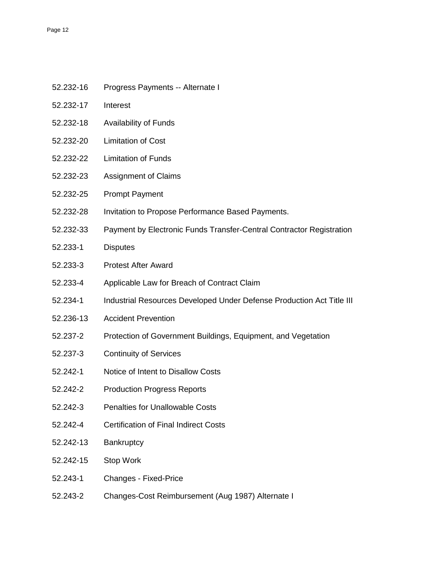- 52.232-16 Progress Payments -- Alternate I
- 52.232-17 Interest
- 52.232-18 Availability of Funds
- 52.232-20 Limitation of Cost
- 52.232-22 Limitation of Funds
- 52.232-23 Assignment of Claims
- 52.232-25 Prompt Payment
- 52.232-28 Invitation to Propose Performance Based Payments.
- 52.232-33 Payment by Electronic Funds Transfer-Central Contractor Registration
- 52.233-1 Disputes
- 52.233-3 Protest After Award
- 52.233-4 Applicable Law for Breach of Contract Claim
- 52.234-1 Industrial Resources Developed Under Defense Production Act Title III
- 52.236-13 Accident Prevention
- 52.237-2 Protection of Government Buildings, Equipment, and Vegetation
- 52.237-3 Continuity of Services
- 52.242-1 Notice of Intent to Disallow Costs
- 52.242-2 Production Progress Reports
- 52.242-3 Penalties for Unallowable Costs
- 52.242-4 Certification of Final Indirect Costs
- 52.242-13 Bankruptcy
- 52.242-15 Stop Work
- 52.243-1 Changes Fixed-Price
- 52.243-2 Changes-Cost Reimbursement (Aug 1987) Alternate I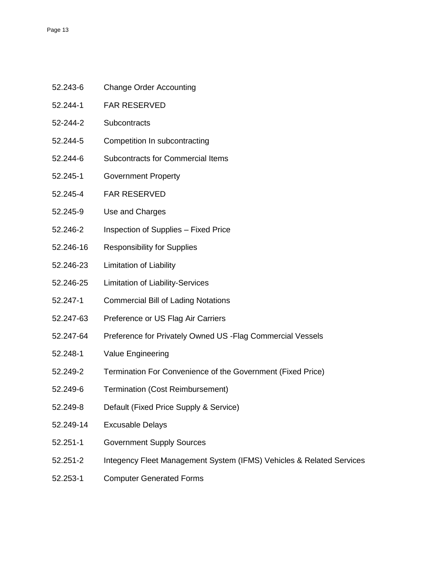- 52.243-6 Change Order Accounting
- 52.244-1 FAR RESERVED
- 52-244-2 Subcontracts
- 52.244-5 Competition In subcontracting
- 52.244-6 Subcontracts for Commercial Items
- 52.245-1 Government Property
- 52.245-4 FAR RESERVED
- 52.245-9 Use and Charges
- 52.246-2 Inspection of Supplies Fixed Price
- 52.246-16 Responsibility for Supplies
- 52.246-23 Limitation of Liability
- 52.246-25 Limitation of Liability-Services
- 52.247-1 Commercial Bill of Lading Notations
- 52.247-63 Preference or US Flag Air Carriers
- 52.247-64 Preference for Privately Owned US -Flag Commercial Vessels
- 52.248-1 Value Engineering
- 52.249-2 Termination For Convenience of the Government (Fixed Price)
- 52.249-6 Termination (Cost Reimbursement)
- 52.249-8 Default (Fixed Price Supply & Service)
- 52.249-14 Excusable Delays
- 52.251-1 Government Supply Sources
- 52.251-2 Integency Fleet Management System (IFMS) Vehicles & Related Services
- 52.253-1 Computer Generated Forms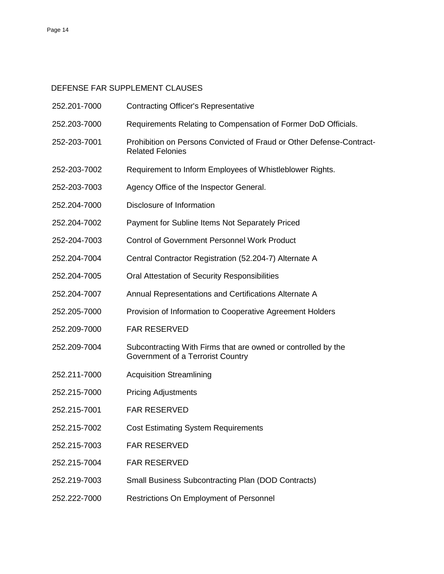# DEFENSE FAR SUPPLEMENT CLAUSES

| 252.201-7000 | <b>Contracting Officer's Representative</b>                                                        |
|--------------|----------------------------------------------------------------------------------------------------|
| 252.203-7000 | Requirements Relating to Compensation of Former DoD Officials.                                     |
| 252-203-7001 | Prohibition on Persons Convicted of Fraud or Other Defense-Contract-<br><b>Related Felonies</b>    |
| 252-203-7002 | Requirement to Inform Employees of Whistleblower Rights.                                           |
| 252-203-7003 | Agency Office of the Inspector General.                                                            |
| 252.204-7000 | Disclosure of Information                                                                          |
| 252.204-7002 | Payment for Subline Items Not Separately Priced                                                    |
| 252-204-7003 | <b>Control of Government Personnel Work Product</b>                                                |
| 252.204-7004 | Central Contractor Registration (52.204-7) Alternate A                                             |
| 252.204-7005 | Oral Attestation of Security Responsibilities                                                      |
| 252.204-7007 | Annual Representations and Certifications Alternate A                                              |
| 252.205-7000 | Provision of Information to Cooperative Agreement Holders                                          |
| 252.209-7000 | <b>FAR RESERVED</b>                                                                                |
| 252.209-7004 | Subcontracting With Firms that are owned or controlled by the<br>Government of a Terrorist Country |
| 252.211-7000 | <b>Acquisition Streamlining</b>                                                                    |
| 252.215-7000 | <b>Pricing Adjustments</b>                                                                         |
| 252.215-7001 | <b>FAR RESERVED</b>                                                                                |
| 252.215-7002 | <b>Cost Estimating System Requirements</b>                                                         |
| 252.215-7003 | <b>FAR RESERVED</b>                                                                                |
| 252.215-7004 | <b>FAR RESERVED</b>                                                                                |
| 252.219-7003 | <b>Small Business Subcontracting Plan (DOD Contracts)</b>                                          |
| 252.222-7000 | Restrictions On Employment of Personnel                                                            |
|              |                                                                                                    |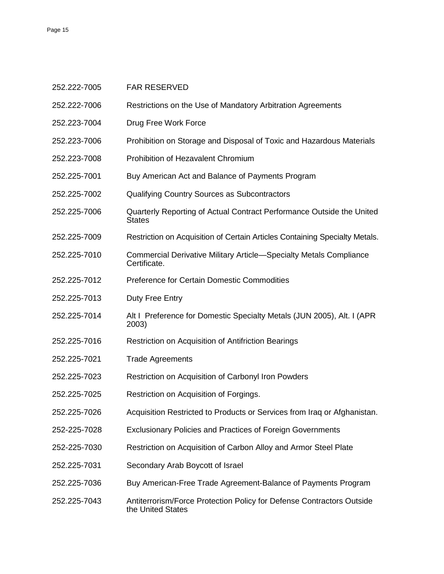| 252.222-7005 | <b>FAR RESERVED</b>                                                                        |
|--------------|--------------------------------------------------------------------------------------------|
| 252.222-7006 | Restrictions on the Use of Mandatory Arbitration Agreements                                |
| 252.223-7004 | Drug Free Work Force                                                                       |
| 252.223-7006 | Prohibition on Storage and Disposal of Toxic and Hazardous Materials                       |
| 252.223-7008 | Prohibition of Hezavalent Chromium                                                         |
| 252.225-7001 | Buy American Act and Balance of Payments Program                                           |
| 252.225-7002 | <b>Qualifying Country Sources as Subcontractors</b>                                        |
| 252.225-7006 | Quarterly Reporting of Actual Contract Performance Outside the United<br><b>States</b>     |
| 252.225-7009 | Restriction on Acquisition of Certain Articles Containing Specialty Metals.                |
| 252.225-7010 | <b>Commercial Derivative Military Article-Specialty Metals Compliance</b><br>Certificate.  |
| 252.225-7012 | <b>Preference for Certain Domestic Commodities</b>                                         |
| 252.225-7013 | Duty Free Entry                                                                            |
| 252.225-7014 | Alt I Preference for Domestic Specialty Metals (JUN 2005), Alt. I (APR<br>2003)            |
| 252.225-7016 | Restriction on Acquisition of Antifriction Bearings                                        |
| 252.225-7021 | <b>Trade Agreements</b>                                                                    |
| 252.225-7023 | Restriction on Acquisition of Carbonyl Iron Powders                                        |
| 252.225-7025 | Restriction on Acquisition of Forgings.                                                    |
| 252.225-7026 | Acquisition Restricted to Products or Services from Iraq or Afghanistan.                   |
| 252-225-7028 | <b>Exclusionary Policies and Practices of Foreign Governments</b>                          |
| 252-225-7030 | Restriction on Acquisition of Carbon Alloy and Armor Steel Plate                           |
| 252.225-7031 | Secondary Arab Boycott of Israel                                                           |
| 252.225-7036 | Buy American-Free Trade Agreement-Balance of Payments Program                              |
| 252.225-7043 | Antiterrorism/Force Protection Policy for Defense Contractors Outside<br>the United States |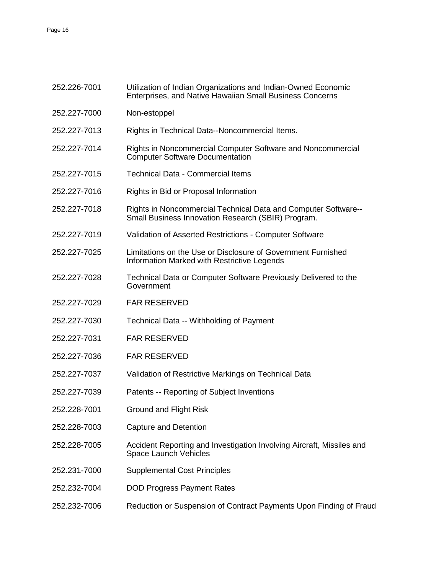| 252.226-7001 | Utilization of Indian Organizations and Indian-Owned Economic<br>Enterprises, and Native Hawaiian Small Business Concerns |
|--------------|---------------------------------------------------------------------------------------------------------------------------|
| 252.227-7000 | Non-estoppel                                                                                                              |
| 252.227-7013 | Rights in Technical Data--Noncommercial Items.                                                                            |
| 252.227-7014 | Rights in Noncommercial Computer Software and Noncommercial<br><b>Computer Software Documentation</b>                     |
| 252.227-7015 | <b>Technical Data - Commercial Items</b>                                                                                  |
| 252.227-7016 | Rights in Bid or Proposal Information                                                                                     |
| 252.227-7018 | Rights in Noncommercial Technical Data and Computer Software--<br>Small Business Innovation Research (SBIR) Program.      |
| 252.227-7019 | Validation of Asserted Restrictions - Computer Software                                                                   |
| 252.227-7025 | Limitations on the Use or Disclosure of Government Furnished<br>Information Marked with Restrictive Legends               |
| 252.227-7028 | Technical Data or Computer Software Previously Delivered to the<br>Government                                             |
| 252.227-7029 | <b>FAR RESERVED</b>                                                                                                       |
| 252.227-7030 | Technical Data -- Withholding of Payment                                                                                  |
| 252.227-7031 | <b>FAR RESERVED</b>                                                                                                       |
| 252.227-7036 | <b>FAR RESERVED</b>                                                                                                       |
| 252.227-7037 | Validation of Restrictive Markings on Technical Data                                                                      |
| 252.227-7039 | Patents -- Reporting of Subject Inventions                                                                                |
| 252.228-7001 | <b>Ground and Flight Risk</b>                                                                                             |
| 252.228-7003 | <b>Capture and Detention</b>                                                                                              |
| 252.228-7005 | Accident Reporting and Investigation Involving Aircraft, Missiles and<br>Space Launch Vehicles                            |
| 252.231-7000 | <b>Supplemental Cost Principles</b>                                                                                       |
| 252.232-7004 | <b>DOD Progress Payment Rates</b>                                                                                         |
| 252.232-7006 | Reduction or Suspension of Contract Payments Upon Finding of Fraud                                                        |
|              |                                                                                                                           |